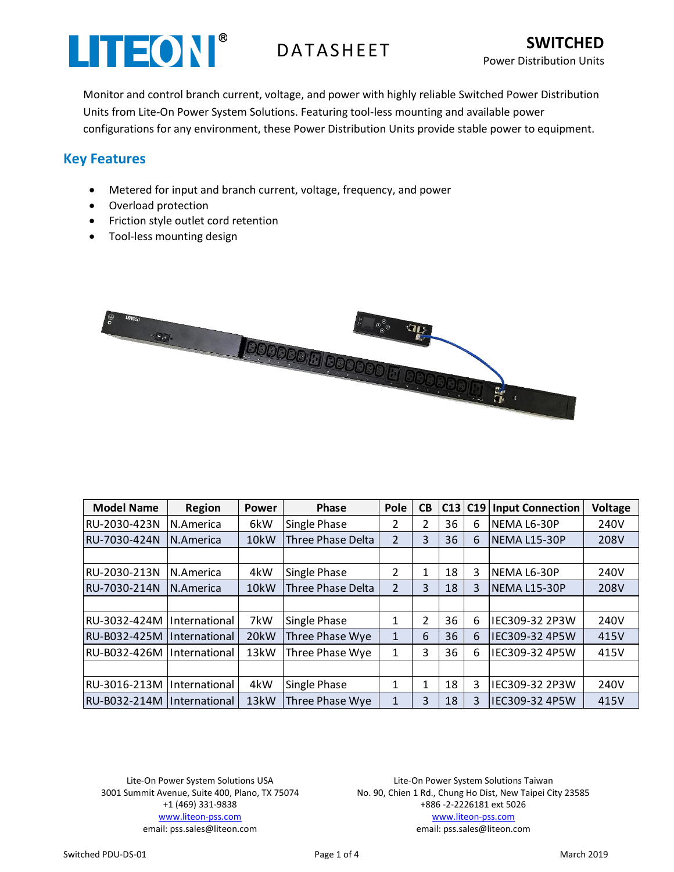

Monitor and control branch current, voltage, and power with highly reliable Switched Power Distribution Units from Lite-On Power System Solutions. Featuring tool-less mounting and available power configurations for any environment, these Power Distribution Units provide stable power to equipment.

## **Key Features**

- Metered for input and branch current, voltage, frequency, and power
- Overload protection
- Friction style outlet cord retention
- Tool-less mounting design



| <b>Model Name</b>            | <b>Region</b>                      | Power             | <b>Phase</b>        | Pole           | CB             |    | C13 C19 | <b>Input Connection</b> | <b>Voltage</b> |
|------------------------------|------------------------------------|-------------------|---------------------|----------------|----------------|----|---------|-------------------------|----------------|
| RU-2030-423N                 | N.America                          | 6kW               | Single Phase        | 2              | 2              | 36 | 6       | NEMA L6-30P             | 240V           |
| RU-7030-424N                 | IN.America                         | 10kW              | Three Phase Delta   | $\overline{2}$ | 3              | 36 | 6       | NEMA L15-30P            | 208V           |
|                              |                                    |                   |                     |                |                |    |         |                         |                |
| RU-2030-213N                 | N.America                          | 4kW               | <b>Single Phase</b> | 2              | 1              | 18 | 3       | NEMA L6-30P             | 240V           |
| IRU-7030-214N                | N.America                          | 10kW              | Three Phase Delta   | 2              | 3              | 18 | 3       | INEMA L15-30P           | 208V           |
|                              |                                    |                   |                     |                |                |    |         |                         |                |
| RU-3032-424M                 | <i>International</i>               | 7kW               | <b>Single Phase</b> | 1              | $\overline{2}$ | 36 | 6       | IEC309-32 2P3W          | 240V           |
| RU-B032-425M                 | <i><u><b>International</b></u></i> | 20kW              | Three Phase Wye     | $\mathbf{1}$   | 6              | 36 | 6       | IEC309-32 4P5W          | 415V           |
| RU-B032-426M                 | <i>International</i>               | 13kW              | Three Phase Wye     | 1              | 3              | 36 | 6       | IEC309-32 4P5W          | 415V           |
|                              |                                    |                   |                     |                |                |    |         |                         |                |
| RU-3016-213M                 | IInternational                     | 4kW               | Single Phase        | 1              | 1              | 18 | 3       | IEC309-32 2P3W          | 240V           |
| IRU-B032-214M IInternational |                                    | 13 <sub>k</sub> W | Three Phase Wye     | $\mathbf{1}$   | 3              | 18 | 3       | IEC309-32 4P5W          | 415V           |
|                              |                                    |                   |                     |                |                |    |         |                         |                |

Lite-On Power System Solutions USA 3001 Summit Avenue, Suite 400, Plano, TX 75074 +1 (469) 331-9838 [www.liteon-pss.com](http://www.liteon-pss.com/) email: pss.sales@liteon.com

Lite-On Power System Solutions Taiwan No. 90, Chien 1 Rd., Chung Ho Dist, New Taipei City 23585 +886 -2-2226181 ext 5026 [www.liteon-pss.com](http://www.liteon-pss.com/) email: pss.sales@liteon.com

Switched PDU-DS-01 **Page 1 of 4** Page 1 of 4 March 2019 **Page 1 of 4** March 2019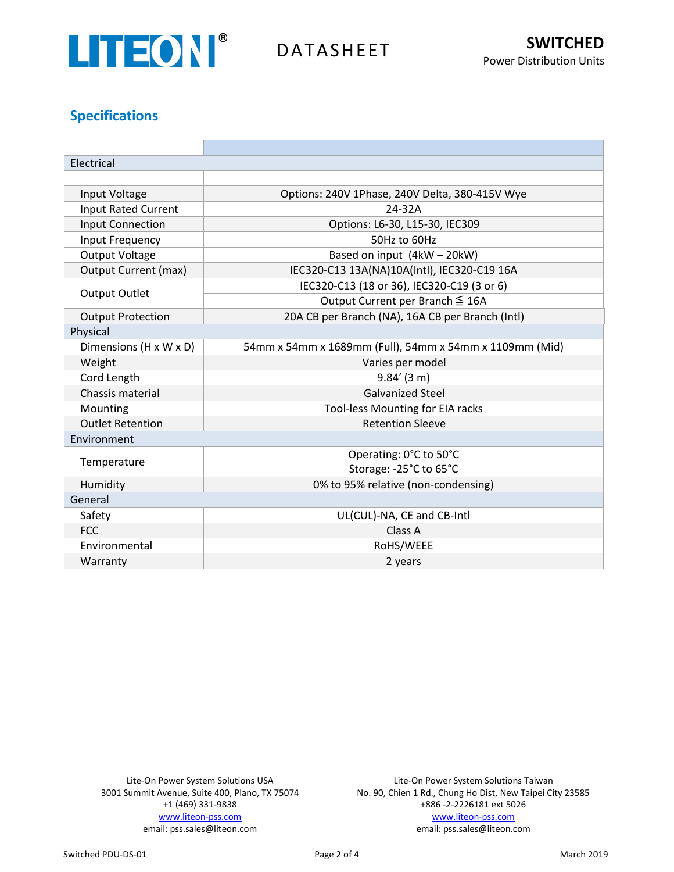

## **Specifications**

| Electrical                  |                                                         |  |  |  |  |
|-----------------------------|---------------------------------------------------------|--|--|--|--|
|                             |                                                         |  |  |  |  |
| Input Voltage               | Options: 240V 1Phase, 240V Delta, 380-415V Wye          |  |  |  |  |
| <b>Input Rated Current</b>  | 24-32A                                                  |  |  |  |  |
| <b>Input Connection</b>     | Options: L6-30, L15-30, IEC309                          |  |  |  |  |
| Input Frequency             | 50Hz to 60Hz                                            |  |  |  |  |
| <b>Output Voltage</b>       | Based on input (4kW - 20kW)                             |  |  |  |  |
| <b>Output Current (max)</b> | IEC320-C13 13A(NA)10A(Intl), IEC320-C19 16A             |  |  |  |  |
| <b>Output Outlet</b>        | IEC320-C13 (18 or 36), IEC320-C19 (3 or 6)              |  |  |  |  |
|                             | Output Current per Branch ≤ 16A                         |  |  |  |  |
| <b>Output Protection</b>    | 20A CB per Branch (NA), 16A CB per Branch (Intl)        |  |  |  |  |
| Physical                    |                                                         |  |  |  |  |
| Dimensions (H x W x D)      | 54mm x 54mm x 1689mm (Full), 54mm x 54mm x 1109mm (Mid) |  |  |  |  |
| Weight                      | Varies per model                                        |  |  |  |  |
| Cord Length                 | $9.84'$ (3 m)                                           |  |  |  |  |
| Chassis material            | <b>Galvanized Steel</b>                                 |  |  |  |  |
| Mounting                    | Tool-less Mounting for EIA racks                        |  |  |  |  |
| <b>Outlet Retention</b>     | <b>Retention Sleeve</b>                                 |  |  |  |  |
| Environment                 |                                                         |  |  |  |  |
| Temperature                 | Operating: 0°C to 50°C                                  |  |  |  |  |
|                             | Storage: -25°C to 65°C                                  |  |  |  |  |
| Humidity                    | 0% to 95% relative (non-condensing)                     |  |  |  |  |
| General                     |                                                         |  |  |  |  |
| Safety                      | UL(CUL)-NA, CE and CB-Intl                              |  |  |  |  |
| <b>FCC</b>                  | Class A                                                 |  |  |  |  |
| Environmental               | RoHS/WEEE                                               |  |  |  |  |
| Warranty                    | 2 years                                                 |  |  |  |  |

Lite-On Power System Solutions USA 3001 Summit Avenue, Suite 400, Plano, TX 75074 +1 (469) 331-9838 [www.liteon-pss.com](http://www.liteon-pss.com/) email: pss.sales@liteon.com

Lite-On Power System Solutions Taiwan No. 90, Chien 1 Rd., Chung Ho Dist, New Taipei City 23585 +886 -2-2226181 ext 5026 [www.liteon-pss.com](http://www.liteon-pss.com/) email: pss.sales@liteon.com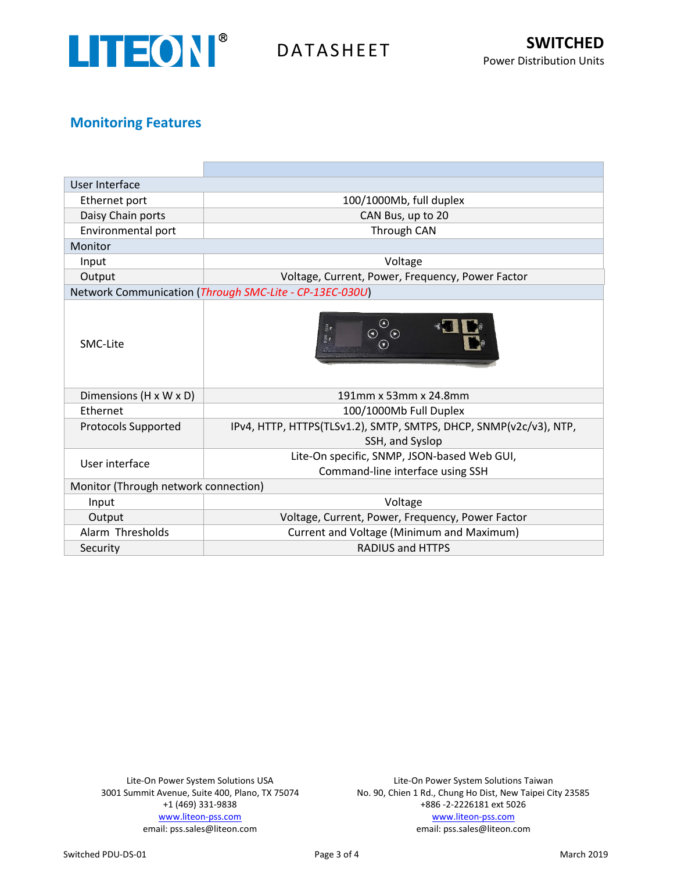

## **Monitoring Features**

| User Interface                                          |                                                                                      |  |  |  |  |  |
|---------------------------------------------------------|--------------------------------------------------------------------------------------|--|--|--|--|--|
| Ethernet port                                           | 100/1000Mb, full duplex                                                              |  |  |  |  |  |
| Daisy Chain ports                                       | CAN Bus, up to 20                                                                    |  |  |  |  |  |
| Environmental port                                      | Through CAN                                                                          |  |  |  |  |  |
| Monitor                                                 |                                                                                      |  |  |  |  |  |
| Input                                                   | Voltage                                                                              |  |  |  |  |  |
| Output                                                  | Voltage, Current, Power, Frequency, Power Factor                                     |  |  |  |  |  |
| Network Communication (Through SMC-Lite - CP-13EC-030U) |                                                                                      |  |  |  |  |  |
| SMC-Lite                                                | $\odot$<br>PWR ALLY<br>$\odot$<br>$\odot$<br>$(\blacktriangledown)$                  |  |  |  |  |  |
| Dimensions (H x W x D)                                  | 191mm x 53mm x 24.8mm                                                                |  |  |  |  |  |
| <b>Fthernet</b>                                         | 100/1000Mb Full Duplex                                                               |  |  |  |  |  |
| <b>Protocols Supported</b>                              | IPv4, HTTP, HTTPS(TLSv1.2), SMTP, SMTPS, DHCP, SNMP(v2c/v3), NTP,<br>SSH, and Syslop |  |  |  |  |  |
|                                                         | Lite-On specific, SNMP, JSON-based Web GUI,                                          |  |  |  |  |  |
| User interface                                          | Command-line interface using SSH                                                     |  |  |  |  |  |
| Monitor (Through network connection)                    |                                                                                      |  |  |  |  |  |
| Input                                                   | Voltage                                                                              |  |  |  |  |  |
| Output                                                  | Voltage, Current, Power, Frequency, Power Factor                                     |  |  |  |  |  |
| Alarm Thresholds                                        | Current and Voltage (Minimum and Maximum)                                            |  |  |  |  |  |
| Security                                                | <b>RADIUS and HTTPS</b>                                                              |  |  |  |  |  |

Lite-On Power System Solutions USA 3001 Summit Avenue, Suite 400, Plano, TX 75074 +1 (469) 331-9838 [www.liteon-pss.com](http://www.liteon-pss.com/) email: pss.sales@liteon.com

Lite-On Power System Solutions Taiwan No. 90, Chien 1 Rd., Chung Ho Dist, New Taipei City 23585 +886 -2-2226181 ext 5026 [www.liteon-pss.com](http://www.liteon-pss.com/) email: pss.sales@liteon.com